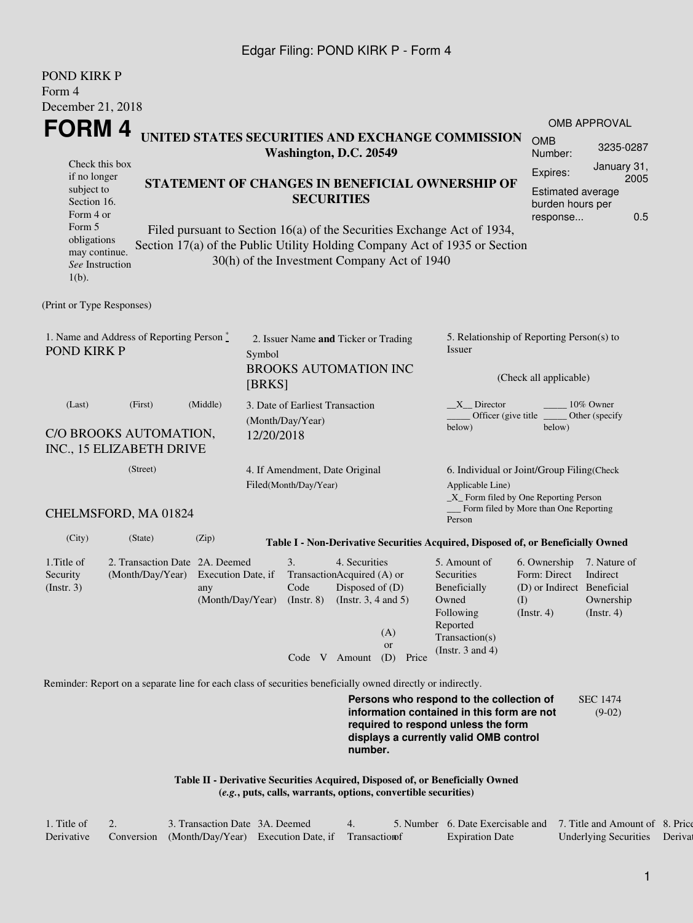## Edgar Filing: POND KIRK P - Form 4

| POND KIRK P                                                                                                                                                                                                                                                                                      |                                                                       |                                                                      |                                      |                                                         |  |                                                                                                     |                                                     |                                                                                                                                                     |                                                                                       |                                                      |  |
|--------------------------------------------------------------------------------------------------------------------------------------------------------------------------------------------------------------------------------------------------------------------------------------------------|-----------------------------------------------------------------------|----------------------------------------------------------------------|--------------------------------------|---------------------------------------------------------|--|-----------------------------------------------------------------------------------------------------|-----------------------------------------------------|-----------------------------------------------------------------------------------------------------------------------------------------------------|---------------------------------------------------------------------------------------|------------------------------------------------------|--|
| Form 4                                                                                                                                                                                                                                                                                           |                                                                       |                                                                      |                                      |                                                         |  |                                                                                                     |                                                     |                                                                                                                                                     |                                                                                       |                                                      |  |
| December 21, 2018                                                                                                                                                                                                                                                                                |                                                                       |                                                                      |                                      |                                                         |  |                                                                                                     |                                                     |                                                                                                                                                     |                                                                                       |                                                      |  |
| FORM 4                                                                                                                                                                                                                                                                                           |                                                                       |                                                                      |                                      |                                                         |  |                                                                                                     |                                                     | UNITED STATES SECURITIES AND EXCHANGE COMMISSION                                                                                                    |                                                                                       | <b>OMB APPROVAL</b>                                  |  |
|                                                                                                                                                                                                                                                                                                  |                                                                       |                                                                      |                                      | Washington, D.C. 20549                                  |  |                                                                                                     |                                                     |                                                                                                                                                     | <b>OMB</b><br>Number:                                                                 | 3235-0287                                            |  |
| Check this box<br>if no longer<br>subject to<br>Section 16.<br>Form 4 or                                                                                                                                                                                                                         |                                                                       | STATEMENT OF CHANGES IN BENEFICIAL OWNERSHIP OF<br><b>SECURITIES</b> |                                      |                                                         |  |                                                                                                     |                                                     |                                                                                                                                                     |                                                                                       |                                                      |  |
| 0.5<br>response<br>Form 5<br>Filed pursuant to Section 16(a) of the Securities Exchange Act of 1934,<br>obligations<br>Section 17(a) of the Public Utility Holding Company Act of 1935 or Section<br>may continue.<br>30(h) of the Investment Company Act of 1940<br>See Instruction<br>$1(b)$ . |                                                                       |                                                                      |                                      |                                                         |  |                                                                                                     |                                                     |                                                                                                                                                     |                                                                                       |                                                      |  |
| (Print or Type Responses)                                                                                                                                                                                                                                                                        |                                                                       |                                                                      |                                      |                                                         |  |                                                                                                     |                                                     |                                                                                                                                                     |                                                                                       |                                                      |  |
| 1. Name and Address of Reporting Person $\stackrel{*}{\mathbb{L}}$<br>POND KIRK P                                                                                                                                                                                                                |                                                                       | Symbol                                                               | 2. Issuer Name and Ticker or Trading |                                                         |  |                                                                                                     | 5. Relationship of Reporting Person(s) to<br>Issuer |                                                                                                                                                     |                                                                                       |                                                      |  |
|                                                                                                                                                                                                                                                                                                  |                                                                       | [BRKS]                                                               | <b>BROOKS AUTOMATION INC</b>         |                                                         |  |                                                                                                     | (Check all applicable)                              |                                                                                                                                                     |                                                                                       |                                                      |  |
| (Last)                                                                                                                                                                                                                                                                                           | 3. Date of Earliest Transaction<br>(Month/Day/Year)                   |                                                                      |                                      |                                                         |  | $X$ <sub>_</sub> Director<br>10% Owner<br>Officer (give title<br>Other (specify<br>below)<br>below) |                                                     |                                                                                                                                                     |                                                                                       |                                                      |  |
| C/O BROOKS AUTOMATION,<br>INC., 15 ELIZABETH DRIVE                                                                                                                                                                                                                                               | 12/20/2018                                                            |                                                                      |                                      |                                                         |  |                                                                                                     |                                                     |                                                                                                                                                     |                                                                                       |                                                      |  |
| (Street)                                                                                                                                                                                                                                                                                         |                                                                       |                                                                      |                                      | 4. If Amendment, Date Original<br>Filed(Month/Day/Year) |  |                                                                                                     |                                                     | 6. Individual or Joint/Group Filing(Check<br>Applicable Line)<br>$\_X$ Form filed by One Reporting Person<br>_Form filed by More than One Reporting |                                                                                       |                                                      |  |
| CHELMSFORD, MA 01824                                                                                                                                                                                                                                                                             |                                                                       |                                                                      |                                      |                                                         |  |                                                                                                     |                                                     | Person                                                                                                                                              |                                                                                       |                                                      |  |
| (City)                                                                                                                                                                                                                                                                                           | (State)                                                               | (Zip)                                                                |                                      |                                                         |  |                                                                                                     |                                                     | Table I - Non-Derivative Securities Acquired, Disposed of, or Beneficially Owned                                                                    |                                                                                       |                                                      |  |
| 1. Title of<br>Security<br>$($ Instr. 3 $)$                                                                                                                                                                                                                                                      | 2. Transaction Date 2A. Deemed<br>(Month/Day/Year) Execution Date, if | any<br>(Month/Day/Year) (Instr. 8) (Instr. 3, 4 and 5)               |                                      | 3.<br>TransactionAcquired (A) or<br>Code                |  | 4. Securities<br>Disposed of $(D)$                                                                  | (A)<br>or                                           | 5. Amount of<br>Securities<br>Beneficially<br>Owned<br>Following<br>Reported<br>Transaction(s)<br>(Instr. $3$ and $4$ )                             | 6. Ownership<br>Form: Direct<br>(D) or Indirect Beneficial<br>(I)<br>$($ Instr. 4 $)$ | 7. Nature of<br>Indirect<br>Ownership<br>(Insert. 4) |  |
| Reminder: Report on a separate line for each class of securities beneficially owned directly or indirectly.                                                                                                                                                                                      |                                                                       |                                                                      |                                      | Code V Amount                                           |  |                                                                                                     | (D)<br>Price                                        |                                                                                                                                                     |                                                                                       |                                                      |  |
|                                                                                                                                                                                                                                                                                                  |                                                                       |                                                                      |                                      |                                                         |  |                                                                                                     |                                                     | Persons who respond to the collection of                                                                                                            |                                                                                       | <b>SEC 1474</b>                                      |  |
|                                                                                                                                                                                                                                                                                                  |                                                                       |                                                                      |                                      |                                                         |  | number.                                                                                             |                                                     | information contained in this form are not<br>required to respond unless the form<br>displays a currently valid OMB control                         |                                                                                       | $(9-02)$                                             |  |

**Table II - Derivative Securities Acquired, Disposed of, or Beneficially Owned (***e.g.***, puts, calls, warrants, options, convertible securities)**

| 1. Title of | 3. Transaction Date 3A. Deemed |                                                               |  | 5. Number 6. Date Exercisable and 7. Title and Amount of 8. Price |                               |  |
|-------------|--------------------------------|---------------------------------------------------------------|--|-------------------------------------------------------------------|-------------------------------|--|
| Derivative  |                                | Conversion (Month/Day/Year) Execution Date, if Transaction of |  | <b>Expiration Date</b>                                            | Underlying Securities Derival |  |